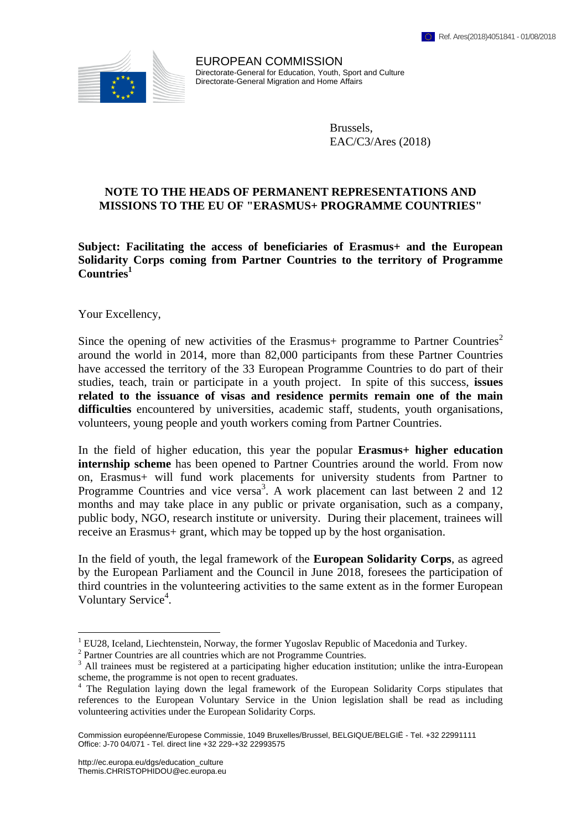

EUROPEAN COMMISSION Directorate-General for Education, Youth, Sport and Culture Directorate-General Migration and Home Affairs

> Brussels, EAC/C3/Ares (2018)

## **NOTE TO THE HEADS OF PERMANENT REPRESENTATIONS AND MISSIONS TO THE EU OF "ERASMUS+ PROGRAMME COUNTRIES"**

**Subject: Facilitating the access of beneficiaries of Erasmus+ and the European Solidarity Corps coming from Partner Countries to the territory of Programme Countries<sup>1</sup>**

Your Excellency,

Since the opening of new activities of the Erasmus+ programme to Partner Countries<sup>2</sup> around the world in 2014, more than 82,000 participants from these Partner Countries have accessed the territory of the 33 European Programme Countries to do part of their studies, teach, train or participate in a youth project. In spite of this success, **issues related to the issuance of visas and residence permits remain one of the main difficulties** encountered by universities, academic staff, students, youth organisations, volunteers, young people and youth workers coming from Partner Countries.

In the field of higher education, this year the popular **Erasmus+ higher education internship scheme** has been opened to Partner Countries around the world. From now on, Erasmus+ will fund work placements for university students from Partner to Programme Countries and vice versa<sup>3</sup>. A work placement can last between 2 and 12 months and may take place in any public or private organisation, such as a company, public body, NGO, research institute or university. During their placement, trainees will receive an Erasmus+ grant, which may be topped up by the host organisation.

In the field of youth, the legal framework of the **European Solidarity Corps**, as agreed by the European Parliament and the Council in June 2018, foresees the participation of third countries in the volunteering activities to the same extent as in the former European Voluntary Service<sup>4</sup>.

 $\overline{a}$ 

<sup>&</sup>lt;sup>1</sup> EU28, Iceland, Liechtenstein, Norway, the former Yugoslav Republic of Macedonia and Turkey.

<sup>&</sup>lt;sup>2</sup> Partner Countries are all countries which are not Programme Countries.

<sup>&</sup>lt;sup>3</sup> All trainees must be registered at a participating higher education institution; unlike the intra-European scheme, the programme is not open to recent graduates.

<sup>&</sup>lt;sup>4</sup> The Regulation laying down the legal framework of the European Solidarity Corps stipulates that references to the European Voluntary Service in the Union legislation shall be read as including volunteering activities under the European Solidarity Corps.

Commission européenne/Europese Commissie, 1049 Bruxelles/Brussel, BELGIQUE/BELGIË - Tel. +32 22991111 Office: J-70 04/071 - Tel. direct line +32 229-+32 22993575